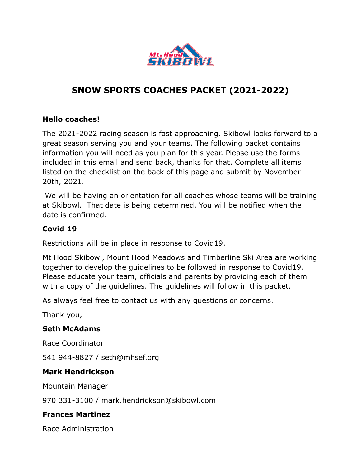

## **SNOW SPORTS COACHES PACKET (2021-2022)**

### **Hello coaches!**

The 2021-2022 racing season is fast approaching. Skibowl looks forward to a great season serving you and your teams. The following packet contains information you will need as you plan for this year. Please use the forms included in this email and send back, thanks for that. Complete all items listed on the checklist on the back of this page and submit by November 20th, 2021.

 We will be having an orientation for all coaches whose teams will be training at Skibowl. That date is being determined. You will be notified when the date is confirmed.

#### **Covid 19**

Restrictions will be in place in response to Covid19.

Mt Hood Skibowl, Mount Hood Meadows and Timberline Ski Area are working together to develop the guidelines to be followed in response to Covid19. Please educate your team, officials and parents by providing each of them with a copy of the guidelines. The guidelines will follow in this packet.

As always feel free to contact us with any questions or concerns.

Thank you,

#### **Seth McAdams**

Race Coordinator

541 944-8827 / seth@mhsef.org

#### **Mark Hendrickson**

Mountain Manager

970 331-3100 / mark.hendrickson@skibowl.com

#### **Frances Martinez**

Race Administration